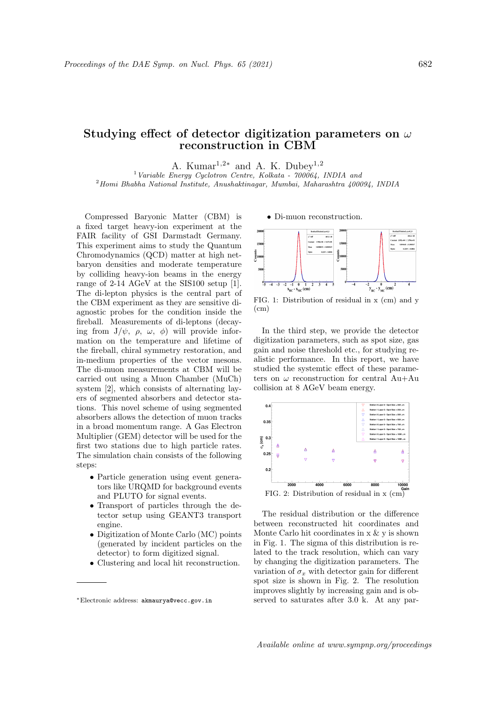## Studying effect of detector digitization parameters on  $\omega$ reconstruction in CBM

A. Kumar<sup>1,2\*</sup> and A. K. Dubey<sup>1,2</sup>

<sup>1</sup> Variable Energy Cyclotron Centre, Kolkata -  $700064$ , INDIA and <sup>2</sup>Homi Bhabha National Institute, Anushaktinagar, Mumbai, Maharashtra 400094, INDIA

Compressed Baryonic Matter (CBM) is a fixed target heavy-ion experiment at the FAIR facility of GSI Darmstadt Germany. This experiment aims to study the Quantum Chromodynamics (QCD) matter at high netbaryon densities and moderate temperature by colliding heavy-ion beams in the energy range of 2-14 AGeV at the SIS100 setup [1]. The di-lepton physics is the central part of the CBM experiment as they are sensitive diagnostic probes for the condition inside the fireball. Measurements of di-leptons (decaying from  $J/\psi$ ,  $\rho$ ,  $\omega$ ,  $\phi$ ) will provide information on the temperature and lifetime of the fireball, chiral symmetry restoration, and in-medium properties of the vector mesons. The di-muon measurements at CBM will be carried out using a Muon Chamber (MuCh) system [2], which consists of alternating layers of segmented absorbers and detector stations. This novel scheme of using segmented absorbers allows the detection of muon tracks in a broad momentum range. A Gas Electron Multiplier (GEM) detector will be used for the first two stations due to high particle rates. The simulation chain consists of the following steps:

- Particle generation using event generators like URQMD for background events and PLUTO for signal events.
- Transport of particles through the detector setup using GEANT3 transport engine.
- Digitization of Monte Carlo (MC) points (generated by incident particles on the detector) to form digitized signal.
- Clustering and local hit reconstruction.

• Di-muon reconstruction.



FIG. 1: Distribution of residual in x (cm) and y  $(cm)$ 

In the third step, we provide the detector digitization parameters, such as spot size, gas gain and noise threshold etc., for studying realistic performance. In this report, we have studied the systemtic effect of these parameters on  $\omega$  reconstruction for central Au+Au collision at 8 AGeV beam energy.



The residual distribution or the difference between reconstructed hit coordinates and Monte Carlo hit coordinates in x & y is shown in Fig. 1. The sigma of this distribution is related to the track resolution, which can vary by changing the digitization parameters. The variation of  $\sigma_x$  with detector gain for different spot size is shown in Fig. 2. The resolution improves slightly by increasing gain and is observed to saturates after 3.0 k. At any par-

<sup>∗</sup>Electronic address: akmaurya@vecc.gov.in